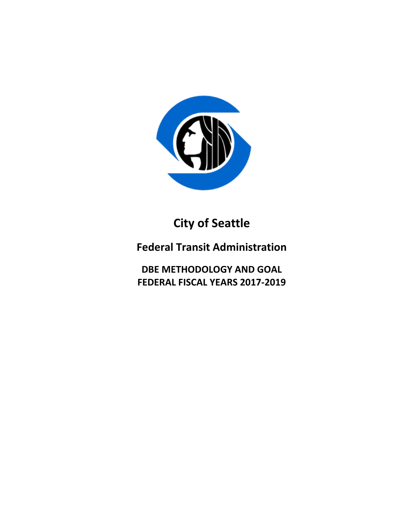

**City of Seattle**

**Federal Transit Administration**

**DBE METHODOLOGY AND GOAL FEDERAL FISCAL YEARS 2017-2019**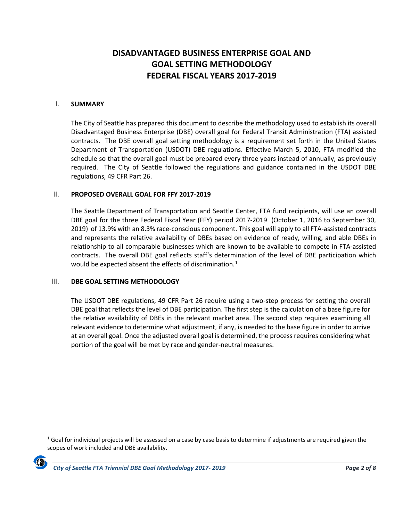# **DISADVANTAGED BUSINESS ENTERPRISE GOAL AND GOAL SETTING METHODOLOGY FEDERAL FISCAL YEARS 2017-2019**

#### I. **SUMMARY**

The City of Seattle has prepared this document to describe the methodology used to establish its overall Disadvantaged Business Enterprise (DBE) overall goal for Federal Transit Administration (FTA) assisted contracts. The DBE overall goal setting methodology is a requirement set forth in the United States Department of Transportation (USDOT) DBE regulations. Effective March 5, 2010, FTA modified the schedule so that the overall goal must be prepared every three years instead of annually, as previously required. The City of Seattle followed the regulations and guidance contained in the USDOT DBE regulations, 49 CFR Part 26.

#### II. **PROPOSED OVERALL GOAL FOR FFY 2017-2019**

The Seattle Department of Transportation and Seattle Center, FTA fund recipients, will use an overall DBE goal for the three Federal Fiscal Year (FFY) period 2017-2019 (October 1, 2016 to September 30, 2019) of 13.9% with an 8.3% race-conscious component. This goal will apply to all FTA-assisted contracts and represents the relative availability of DBEs based on evidence of ready, willing, and able DBEs in relationship to all comparable businesses which are known to be available to compete in FTA-assisted contracts. The overall DBE goal reflects staff's determination of the level of DBE participation which would be expected absent the effects of discrimination.<sup>[1](#page-1-0)</sup>

#### III. **DBE GOAL SETTING METHODOLOGY**

The USDOT DBE regulations, 49 CFR Part 26 require using a two-step process for setting the overall DBE goal that reflects the level of DBE participation. The first step is the calculation of a base figure for the relative availability of DBEs in the relevant market area. The second step requires examining all relevant evidence to determine what adjustment, if any, is needed to the base figure in order to arrive at an overall goal. Once the adjusted overall goal is determined, the process requires considering what portion of the goal will be met by race and gender-neutral measures.

<span id="page-1-0"></span> $1$  Goal for individual projects will be assessed on a case by case basis to determine if adjustments are required given the scopes of work included and DBE availability.



 $\overline{\phantom{a}}$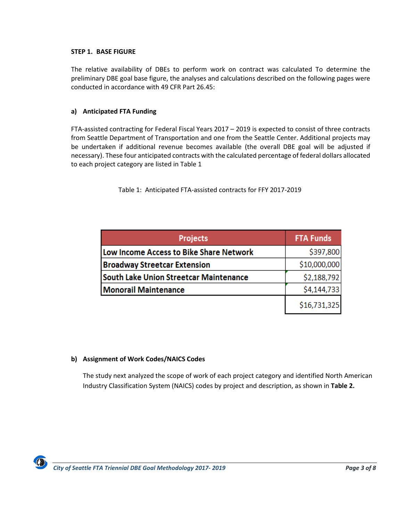#### **STEP 1. BASE FIGURE**

The relative availability of DBEs to perform work on contract was calculated To determine the preliminary DBE goal base figure, the analyses and calculations described on the following pages were conducted in accordance with 49 CFR Part 26.45:

### **a) Anticipated FTA Funding**

FTA-assisted contracting for Federal Fiscal Years 2017 – 2019 is expected to consist of three contracts from Seattle Department of Transportation and one from the Seattle Center. Additional projects may be undertaken if additional revenue becomes available (the overall DBE goal will be adjusted if necessary). These four anticipated contracts with the calculated percentage of federal dollars allocated to each project category are listed in Table 1

Table 1: Anticipated FTA-assisted contracts for FFY 2017-2019

| <b>Projects</b>                               | <b>FTA Funds</b> |
|-----------------------------------------------|------------------|
| Low Income Access to Bike Share Network       | \$397,800        |
| <b>Broadway Streetcar Extension</b>           | \$10,000,000     |
| <b>South Lake Union Streetcar Maintenance</b> | \$2,188,792      |
| <b>Monorail Maintenance</b>                   | \$4,144,733      |
|                                               | \$16,731,325     |

#### **b) Assignment of Work Codes/NAICS Codes**

The study next analyzed the scope of work of each project category and identified North American Industry Classification System (NAICS) codes by project and description, as shown in **Table 2.**

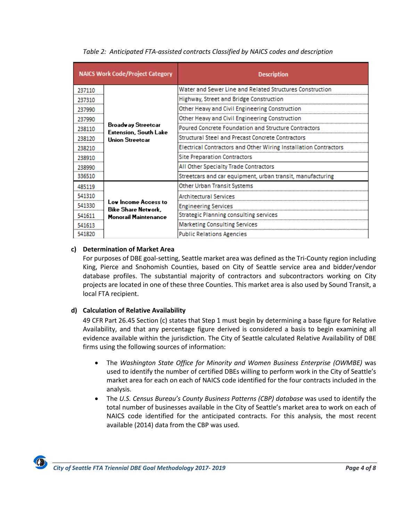| <b>NAICS Work Code/Project Category</b> |                                                                              | <b>Description</b>                                               |  |  |  |  |  |
|-----------------------------------------|------------------------------------------------------------------------------|------------------------------------------------------------------|--|--|--|--|--|
| 237110                                  |                                                                              | Water and Sewer Line and Related Structures Construction         |  |  |  |  |  |
| 237310                                  | Broadway Streetcar<br><b>Extension, South Lake</b><br><b>Union Streetcar</b> | Highway, Street and Bridge Construction                          |  |  |  |  |  |
| 237990                                  |                                                                              | Other Heavy and Civil Engineering Construction                   |  |  |  |  |  |
| 237990                                  |                                                                              | Other Heavy and Civil Engineering Construction                   |  |  |  |  |  |
| 238110                                  |                                                                              | Poured Concrete Foundation and Structure Contractors             |  |  |  |  |  |
| 238120                                  |                                                                              | Structural Steel and Precast Concrete Contractors                |  |  |  |  |  |
| 238210                                  |                                                                              | Electrical Contractors and Other Wiring Installation Contractors |  |  |  |  |  |
| 238910                                  |                                                                              | <b>Site Preparation Contractors</b>                              |  |  |  |  |  |
| 238990                                  |                                                                              | All Other Specialty Trade Contractors                            |  |  |  |  |  |
| 336510                                  |                                                                              | Streetcars and car equipment, urban transit, manufacturing       |  |  |  |  |  |
| 485119                                  |                                                                              | Other Urban Transit Systems                                      |  |  |  |  |  |
| 541310                                  | Low Income Access to<br>Bike Share Network,<br><b>Monorail Maintenance</b>   | Architectural Services                                           |  |  |  |  |  |
| 541330                                  |                                                                              | <b>Engineering Services</b>                                      |  |  |  |  |  |
| 541611                                  |                                                                              | Strategic Planning consulting services                           |  |  |  |  |  |
| 541613                                  |                                                                              | Marketing Consulting Services                                    |  |  |  |  |  |
| 541820                                  |                                                                              | <b>Public Relations Agencies</b>                                 |  |  |  |  |  |

*Table 2: Anticipated FTA-assisted contracts Classified by NAICS codes and description* 

### **c) Determination of Market Area**

For purposes of DBE goal-setting, Seattle market area was defined as the Tri-County region including King, Pierce and Snohomish Counties, based on City of Seattle service area and bidder/vendor database profiles. The substantial majority of contractors and subcontractors working on City projects are located in one of these three Counties. This market area is also used by Sound Transit, a local FTA recipient.

### **d) Calculation of Relative Availability**

49 CFR Part 26.45 Section (c) states that Step 1 must begin by determining a base figure for Relative Availability, and that any percentage figure derived is considered a basis to begin examining all evidence available within the jurisdiction. The City of Seattle calculated Relative Availability of DBE firms using the following sources of information:

- The *Washington State Office for Minority and Women Business Enterprise (OWMBE)* was used to identify the number of certified DBEs willing to perform work in the City of Seattle's market area for each on each of NAICS code identified for the four contracts included in the analysis.
- The *U.S. Census Bureau's County Business Patterns (CBP) database* was used to identify the total number of businesses available in the City of Seattle's market area to work on each of NAICS code identified for the anticipated contracts. For this analysis, the most recent available (2014) data from the CBP was used.

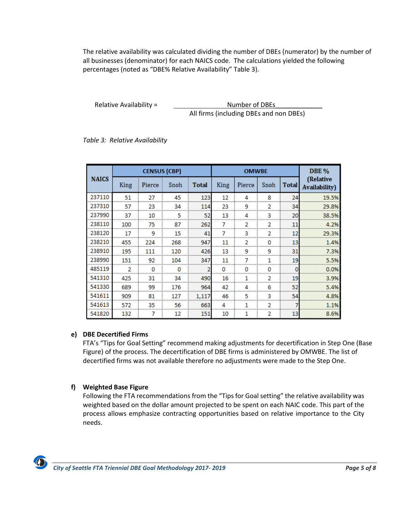The relative availability was calculated dividing the number of DBEs (numerator) by the number of all businesses (denominator) for each NAICS code. The calculations yielded the following percentages (noted as "DBE% Relative Availability" Table 3).

Relative Availability =  $\qquad \qquad$  Number of DBEs All firms (including DBEs and non DBEs)

*Table 3: Relative Availability*

| <b>NAICS</b> | <b>CENSUS (CBP)</b> |        |      |              | <b>OMWBE</b> |        |      |              | <b>DBE %</b>                       |
|--------------|---------------------|--------|------|--------------|--------------|--------|------|--------------|------------------------------------|
|              | King                | Pierce | Snoh | <b>Total</b> | King         | Pierce | Snoh | <b>Total</b> | (Relative<br><b>Availability</b> ) |
| 237110       | 51                  | 27     | 45   | 123          | 12           | 4      | 8    | 24           | 19.5%                              |
| 237310       | 57                  | 23     | 34   | 114          | 23           | 9      | 2    | 34           | 29.8%                              |
| 237990       | 37                  | 10     | 5    | 52           | 13           | 4      | 3    | 20           | 38.5%                              |
| 238110       | 100                 | 75     | 87   | 262          |              |        |      | 11           | 4.2%                               |
| 238120       | 17                  | 9      | 15   | 41           |              | 3      |      | 12           | 29.3%                              |
| 238210       | 455                 | 224    | 268  | 947          | 11           | 2      | o    | 13           | 1.4%                               |
| 238910       | 195                 | 111    | 120  | 426          | 13           | 9      | 9    | 31           | 7.3%                               |
| 238990       | 151                 | 92     | 104  | 347          | 11           |        |      | 19           | 5.5%                               |
| 485119       |                     |        |      |              |              |        |      |              | 0.0%                               |
| 541310       | 425                 | 31     | 34   | 490          | 16           | 1      | 2    | 19           | 3.9%                               |
| 541330       | 689                 | 99     | 176  | 964          | 42           | Δ      | 6    | 52           | 5.4%                               |
| 541611       | 909                 | 81     | 127  | 1,117        | 46           | 5      | 3    | 54           | 4.8%                               |
| 541613       | 572                 | 35     | 56   | 663          | Λ            |        | າ    |              | 1.1%                               |
| 541820       | 132                 |        | 12   | 151          | 10           | 1      |      | 13           | 8.6%                               |

# **e) DBE Decertified Firms**

FTA's "Tips for Goal Setting" recommend making adjustments for decertification in Step One (Base Figure) of the process. The decertification of DBE firms is administered by OMWBE. The list of decertified firms was not available therefore no adjustments were made to the Step One.

# **f) Weighted Base Figure**

Following the FTA recommendations from the "Tips for Goal setting" the relative availability was weighted based on the dollar amount projected to be spent on each NAIC code. This part of the process allows emphasize contracting opportunities based on relative importance to the City needs.

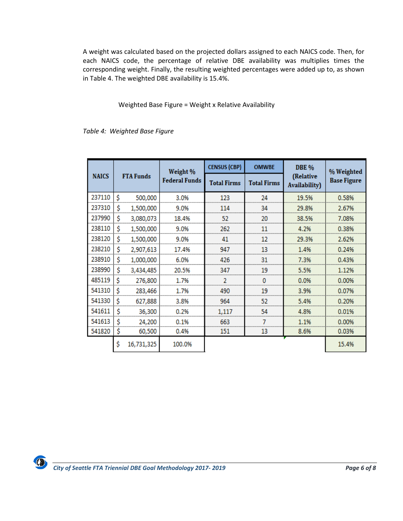A weight was calculated based on the projected dollars assigned to each NAICS code. Then, for each NAICS code, the percentage of relative DBE availability was multiplies times the corresponding weight. Finally, the resulting weighted percentages were added up to, as shown in Table 4. The weighted DBE availability is 15.4%.

Weighted Base Figure = Weight x Relative Availability

*Table 4: Weighted Base Figure*

|              | <b>FTA Funds</b> |            | Weight %<br><b>Federal Funds</b> | <b>CENSUS (CBP)</b> | <b>OMWBE</b>       | <b>DBE %</b>                       | % Weighted         |
|--------------|------------------|------------|----------------------------------|---------------------|--------------------|------------------------------------|--------------------|
| <b>NAICS</b> |                  |            |                                  | <b>Total Firms</b>  | <b>Total Firms</b> | (Relative<br><b>Availability</b> ) | <b>Base Figure</b> |
| 237110       | Ś                | 500,000    | 3.0%                             | 123                 | 24                 | 19.5%                              | 0.58%              |
| 237310       | \$               | 1,500,000  | 9.0%                             | 114                 | 34                 | 29.8%                              | 2.67%              |
| 237990       | \$               | 3,080,073  | 18.4%                            | 52                  | 20                 | 38.5%                              | 7.08%              |
| 238110       | \$               | 1,500,000  | 9.0%                             | 262                 | 11                 | 4.2%                               | 0.38%              |
| 238120       | \$               | 1,500,000  | 9.0%                             | 41                  | 12                 | 29.3%                              | 2.62%              |
| 238210       | \$               | 2,907,613  | 17.4%                            | 947                 | 13                 | 1.4%                               | 0.24%              |
| 238910       | \$               | 1,000,000  | 6.0%                             | 426                 | 31                 | 7.3%                               | 0.43%              |
| 238990       | \$               | 3,434,485  | 20.5%                            | 347                 | 19                 | 5.5%                               | 1.12%              |
| 485119       | \$               | 276,800    | 1.7%                             |                     |                    | 0.0%                               | 0.00%              |
| 541310       | \$               | 283,466    | 1.7%                             | 490                 | 19                 | 3.9%                               | 0.07%              |
| 541330       | S                | 627,888    | 3.8%                             | 964                 | 52                 | 5.4%                               | 0.20%              |
| 541611       | \$               | 36,300     | 0.2%                             | 1,117               | 54                 | 4.8%                               | 0.01%              |
| 541613       | S                | 24,200     | 0.1%                             | 663                 |                    | 1.1%                               | 0.00%              |
| 541820       | \$               | 60,500     | 0.4%                             | 151                 | 13                 | 8.6%                               | 0.03%              |
|              | Ś                | 16,731,325 | 100.0%                           |                     |                    |                                    | 15.4%              |

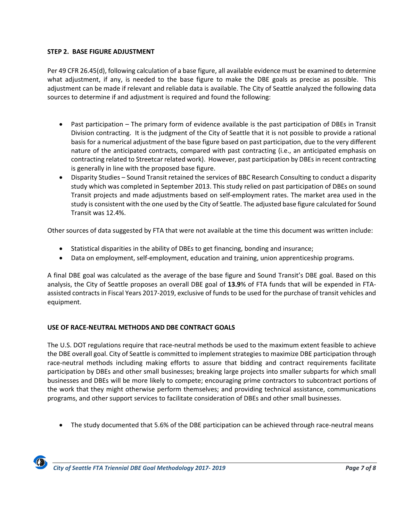### **STEP 2. BASE FIGURE ADJUSTMENT**

Per 49 CFR 26.45(d), following calculation of a base figure, all available evidence must be examined to determine what adjustment, if any, is needed to the base figure to make the DBE goals as precise as possible. This adjustment can be made if relevant and reliable data is available. The City of Seattle analyzed the following data sources to determine if and adjustment is required and found the following:

- Past participation The primary form of evidence available is the past participation of DBEs in Transit Division contracting. It is the judgment of the City of Seattle that it is not possible to provide a rational basis for a numerical adjustment of the base figure based on past participation, due to the very different nature of the anticipated contracts, compared with past contracting (i.e., an anticipated emphasis on contracting related to Streetcar related work). However, past participation by DBEs in recent contracting is generally in line with the proposed base figure.
- Disparity Studies Sound Transit retained the services of BBC Research Consulting to conduct a disparity study which was completed in September 2013. This study relied on past participation of DBEs on sound Transit projects and made adjustments based on self-employment rates. The market area used in the study is consistent with the one used by the City of Seattle. The adjusted base figure calculated for Sound Transit was 12.4%.

Other sources of data suggested by FTA that were not available at the time this document was written include:

- Statistical disparities in the ability of DBEs to get financing, bonding and insurance;
- Data on employment, self-employment, education and training, union apprenticeship programs.

A final DBE goal was calculated as the average of the base figure and Sound Transit's DBE goal. Based on this analysis, the City of Seattle proposes an overall DBE goal of **13.9**% of FTA funds that will be expended in FTAassisted contracts in Fiscal Years 2017-2019, exclusive of funds to be used for the purchase of transit vehicles and equipment.

### **USE OF RACE-NEUTRAL METHODS AND DBE CONTRACT GOALS**

The U.S. DOT regulations require that race-neutral methods be used to the maximum extent feasible to achieve the DBE overall goal. City of Seattle is committed to implement strategies to maximize DBE participation through race-neutral methods including making efforts to assure that bidding and contract requirements facilitate participation by DBEs and other small businesses; breaking large projects into smaller subparts for which small businesses and DBEs will be more likely to compete; encouraging prime contractors to subcontract portions of the work that they might otherwise perform themselves; and providing technical assistance, communications programs, and other support services to facilitate consideration of DBEs and other small businesses.

• The study documented that 5.6% of the DBE participation can be achieved through race-neutral means